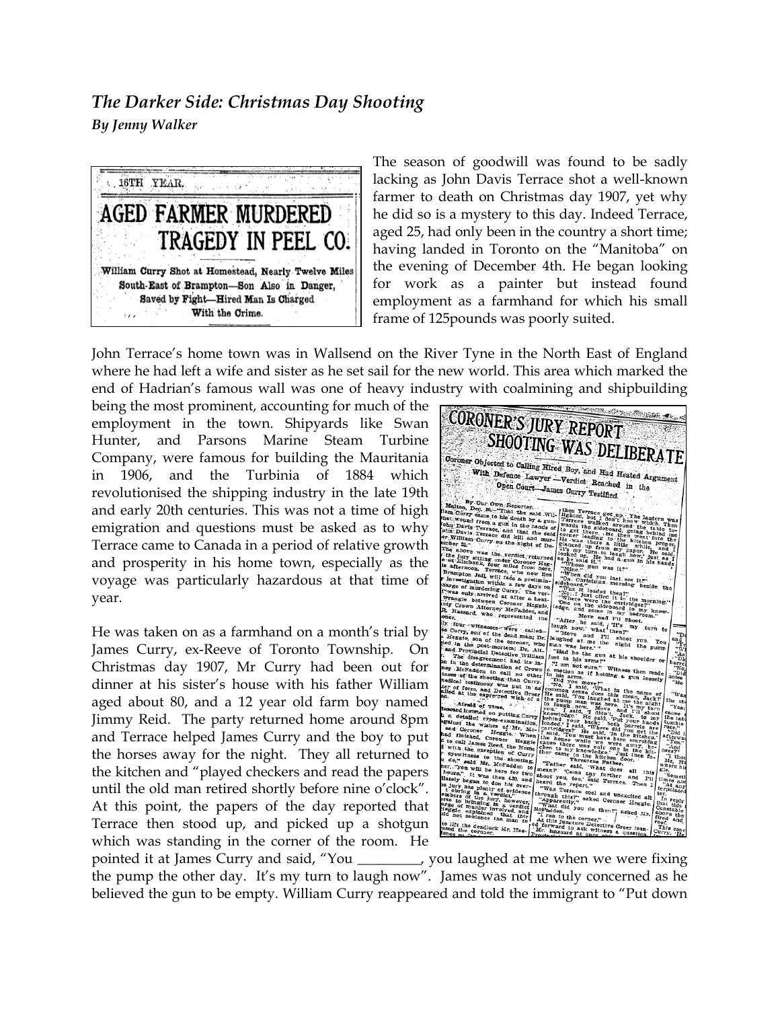## *The Darker Side: Christmas Day Shooting By Jenny Walker*



The season of goodwill was found to be sadly lacking as John Davis Terrace shot a well-known farmer to death on Christmas day 1907, yet why he did so is a mystery to this day. Indeed Terrace, aged 25, had only been in the country a short time; having landed in Toronto on the "Manitoba" on the evening of December 4th. He began looking for work as a painter but instead found employment as a farmhand for which his small frame of 125pounds was poorly suited.

John Terrace's home town was in Wallsend on the River Tyne in the North East of England where he had left a wife and sister as he set sail for the new world. This area which marked the end of Hadrian's famous wall was one of heavy industry with coalmining and shipbuilding

being the most prominent, accounting for much of the employment in the town. Shipyards like Swan Hunter, and Parsons Marine Steam Turbine Company, were famous for building the Mauritania in 1906, and the Turbinia of 1884 which revolutionised the shipping industry in the late 19th and early 20th centuries. This was not a time of high emigration and questions must be asked as to why Terrace came to Canada in a period of relative growth and prosperity in his home town, especially as the voyage was particularly hazardous at that time of year.

He was taken on as a farmhand on a month's trial by James Curry, ex-Reeve of Toronto Township. On Christmas day 1907, Mr Curry had been out for dinner at his sister's house with his father William aged about 80, and a 12 year old farm boy named Jimmy Reid. The party returned home around 8pm and Terrace helped James Curry and the boy to put the horses away for the night. They all returned to the kitchen and "played checkers and read the papers until the old man retired shortly before nine o'clock". At this point, the papers of the day reported that Terrace then stood up, and picked up a shotgun which was standing in the corner of the room. He



pointed it at James Curry and said, "You \_\_\_\_\_\_\_\_\_, you laughed at me when we were fixing the pump the other day. It's my turn to laugh now". James was not unduly concerned as he believed the gun to be empty. William Curry reappeared and told the immigrant to "Put down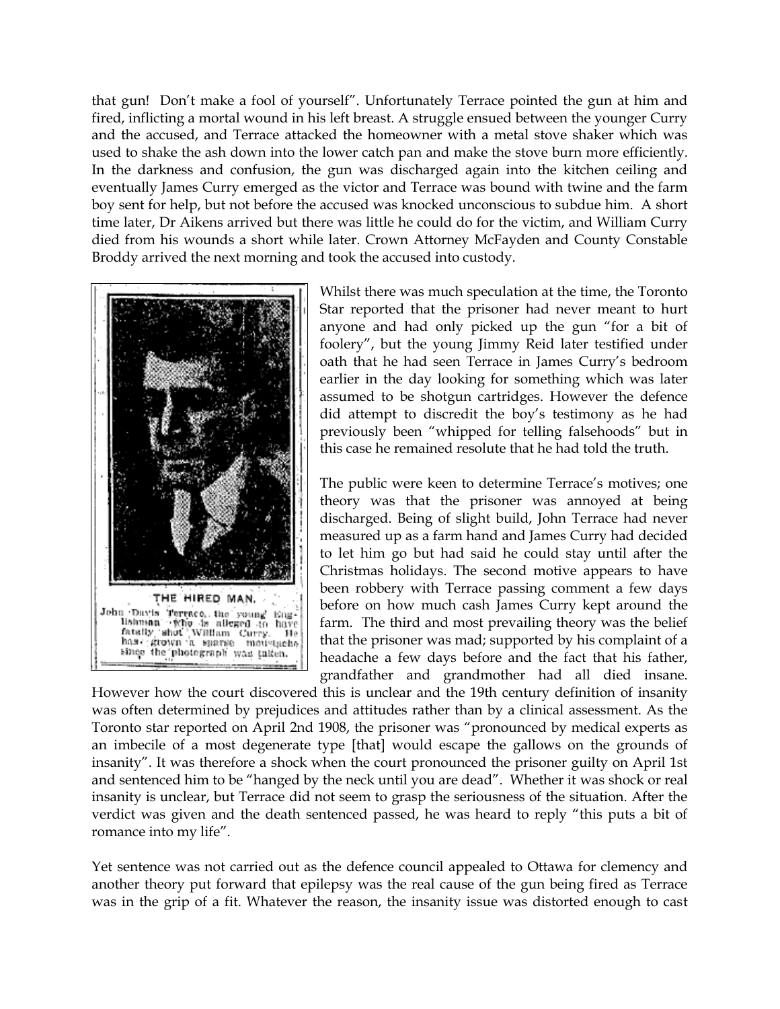that gun! Don't make a fool of yourself". Unfortunately Terrace pointed the gun at him and fired, inflicting a mortal wound in his left breast. A struggle ensued between the younger Curry and the accused, and Terrace attacked the homeowner with a metal stove shaker which was used to shake the ash down into the lower catch pan and make the stove burn more efficiently. In the darkness and confusion, the gun was discharged again into the kitchen ceiling and eventually James Curry emerged as the victor and Terrace was bound with twine and the farm boy sent for help, but not before the accused was knocked unconscious to subdue him. A short time later, Dr Aikens arrived but there was little he could do for the victim, and William Curry died from his wounds a short while later. Crown Attorney McFayden and County Constable Broddy arrived the next morning and took the accused into custody.



Whilst there was much speculation at the time, the Toronto Star reported that the prisoner had never meant to hurt anyone and had only picked up the gun "for a bit of foolery", but the young Jimmy Reid later testified under oath that he had seen Terrace in James Curry's bedroom earlier in the day looking for something which was later assumed to be shotgun cartridges. However the defence did attempt to discredit the boy's testimony as he had previously been "whipped for telling falsehoods" but in this case he remained resolute that he had told the truth.

The public were keen to determine Terrace's motives; one theory was that the prisoner was annoyed at being discharged. Being of slight build, John Terrace had never measured up as a farm hand and James Curry had decided to let him go but had said he could stay until after the Christmas holidays. The second motive appears to have been robbery with Terrace passing comment a few days before on how much cash James Curry kept around the farm. The third and most prevailing theory was the belief that the prisoner was mad; supported by his complaint of a headache a few days before and the fact that his father, grandfather and grandmother had all died insane.

However how the court discovered this is unclear and the 19th century definition of insanity was often determined by prejudices and attitudes rather than by a clinical assessment. As the Toronto star reported on April 2nd 1908, the prisoner was "pronounced by medical experts as an imbecile of a most degenerate type [that] would escape the gallows on the grounds of insanity". It was therefore a shock when the court pronounced the prisoner guilty on April 1st and sentenced him to be "hanged by the neck until you are dead". Whether it was shock or real insanity is unclear, but Terrace did not seem to grasp the seriousness of the situation. After the verdict was given and the death sentenced passed, he was heard to reply "this puts a bit of romance into my life".

Yet sentence was not carried out as the defence council appealed to Ottawa for clemency and another theory put forward that epilepsy was the real cause of the gun being fired as Terrace was in the grip of a fit. Whatever the reason, the insanity issue was distorted enough to cast